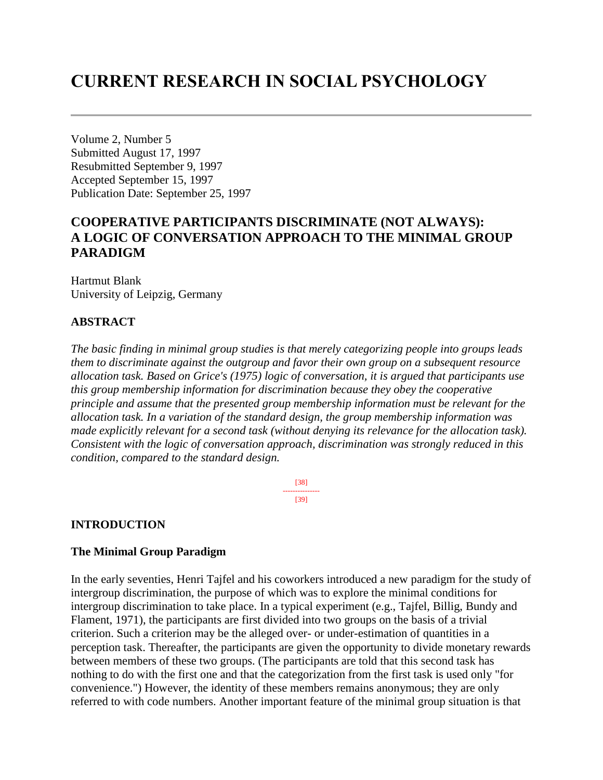# **CURRENT RESEARCH IN SOCIAL PSYCHOLOGY**

Volume 2, Number 5 Submitted August 17, 1997 Resubmitted September 9, 1997 Accepted September 15, 1997 Publication Date: September 25, 1997

# **COOPERATIVE PARTICIPANTS DISCRIMINATE (NOT ALWAYS): A LOGIC OF CONVERSATION APPROACH TO THE MINIMAL GROUP PARADIGM**

Hartmut Blank University of Leipzig, Germany

# **ABSTRACT**

*The basic finding in minimal group studies is that merely categorizing people into groups leads them to discriminate against the outgroup and favor their own group on a subsequent resource allocation task. Based on Grice's (1975) logic of conversation, it is argued that participants use this group membership information for discrimination because they obey the cooperative principle and assume that the presented group membership information must be relevant for the allocation task. In a variation of the standard design, the group membership information was made explicitly relevant for a second task (without denying its relevance for the allocation task). Consistent with the logic of conversation approach, discrimination was strongly reduced in this condition, compared to the standard design.*

> [38] --------------- [39]

# **INTRODUCTION**

# **The Minimal Group Paradigm**

In the early seventies, Henri Tajfel and his coworkers introduced a new paradigm for the study of intergroup discrimination, the purpose of which was to explore the minimal conditions for intergroup discrimination to take place. In a typical experiment (e.g., Tajfel, Billig, Bundy and Flament, 1971), the participants are first divided into two groups on the basis of a trivial criterion. Such a criterion may be the alleged over- or under-estimation of quantities in a perception task. Thereafter, the participants are given the opportunity to divide monetary rewards between members of these two groups. (The participants are told that this second task has nothing to do with the first one and that the categorization from the first task is used only "for convenience.") However, the identity of these members remains anonymous; they are only referred to with code numbers. Another important feature of the minimal group situation is that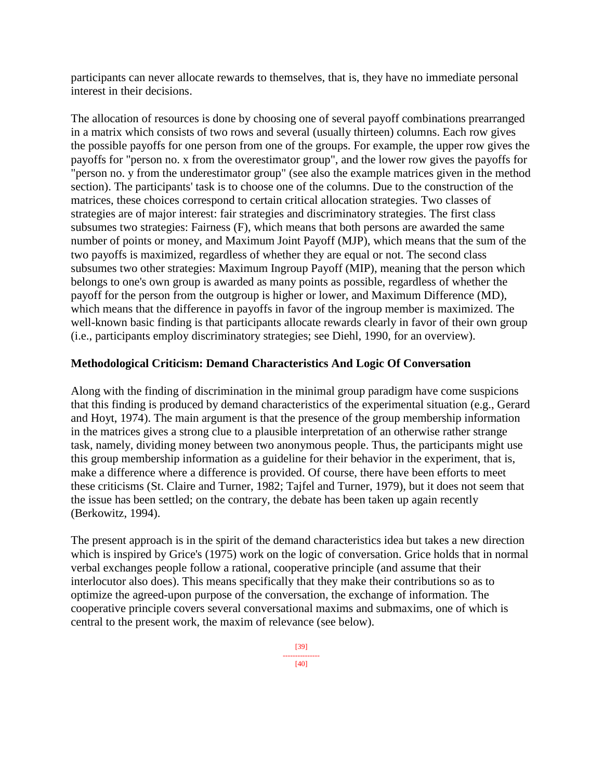participants can never allocate rewards to themselves, that is, they have no immediate personal interest in their decisions.

The allocation of resources is done by choosing one of several payoff combinations prearranged in a matrix which consists of two rows and several (usually thirteen) columns. Each row gives the possible payoffs for one person from one of the groups. For example, the upper row gives the payoffs for "person no. x from the overestimator group", and the lower row gives the payoffs for "person no. y from the underestimator group" (see also the example matrices given in the method section). The participants' task is to choose one of the columns. Due to the construction of the matrices, these choices correspond to certain critical allocation strategies. Two classes of strategies are of major interest: fair strategies and discriminatory strategies. The first class subsumes two strategies: Fairness (F), which means that both persons are awarded the same number of points or money, and Maximum Joint Payoff (MJP), which means that the sum of the two payoffs is maximized, regardless of whether they are equal or not. The second class subsumes two other strategies: Maximum Ingroup Payoff (MIP), meaning that the person which belongs to one's own group is awarded as many points as possible, regardless of whether the payoff for the person from the outgroup is higher or lower, and Maximum Difference (MD), which means that the difference in payoffs in favor of the ingroup member is maximized. The well-known basic finding is that participants allocate rewards clearly in favor of their own group (i.e., participants employ discriminatory strategies; see Diehl, 1990, for an overview).

## **Methodological Criticism: Demand Characteristics And Logic Of Conversation**

Along with the finding of discrimination in the minimal group paradigm have come suspicions that this finding is produced by demand characteristics of the experimental situation (e.g., Gerard and Hoyt, 1974). The main argument is that the presence of the group membership information in the matrices gives a strong clue to a plausible interpretation of an otherwise rather strange task, namely, dividing money between two anonymous people. Thus, the participants might use this group membership information as a guideline for their behavior in the experiment, that is, make a difference where a difference is provided. Of course, there have been efforts to meet these criticisms (St. Claire and Turner, 1982; Tajfel and Turner, 1979), but it does not seem that the issue has been settled; on the contrary, the debate has been taken up again recently (Berkowitz, 1994).

The present approach is in the spirit of the demand characteristics idea but takes a new direction which is inspired by Grice's (1975) work on the logic of conversation. Grice holds that in normal verbal exchanges people follow a rational, cooperative principle (and assume that their interlocutor also does). This means specifically that they make their contributions so as to optimize the agreed-upon purpose of the conversation, the exchange of information. The cooperative principle covers several conversational maxims and submaxims, one of which is central to the present work, the maxim of relevance (see below).

[40]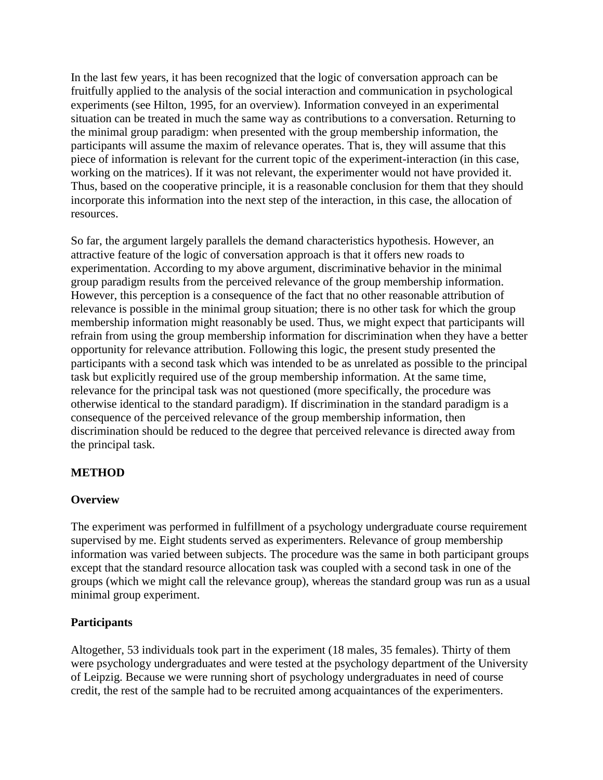In the last few years, it has been recognized that the logic of conversation approach can be fruitfully applied to the analysis of the social interaction and communication in psychological experiments (see Hilton, 1995, for an overview). Information conveyed in an experimental situation can be treated in much the same way as contributions to a conversation. Returning to the minimal group paradigm: when presented with the group membership information, the participants will assume the maxim of relevance operates. That is, they will assume that this piece of information is relevant for the current topic of the experiment-interaction (in this case, working on the matrices). If it was not relevant, the experimenter would not have provided it. Thus, based on the cooperative principle, it is a reasonable conclusion for them that they should incorporate this information into the next step of the interaction, in this case, the allocation of resources.

So far, the argument largely parallels the demand characteristics hypothesis. However, an attractive feature of the logic of conversation approach is that it offers new roads to experimentation. According to my above argument, discriminative behavior in the minimal group paradigm results from the perceived relevance of the group membership information. However, this perception is a consequence of the fact that no other reasonable attribution of relevance is possible in the minimal group situation; there is no other task for which the group membership information might reasonably be used. Thus, we might expect that participants will refrain from using the group membership information for discrimination when they have a better opportunity for relevance attribution. Following this logic, the present study presented the participants with a second task which was intended to be as unrelated as possible to the principal task but explicitly required use of the group membership information. At the same time, relevance for the principal task was not questioned (more specifically, the procedure was otherwise identical to the standard paradigm). If discrimination in the standard paradigm is a consequence of the perceived relevance of the group membership information, then discrimination should be reduced to the degree that perceived relevance is directed away from the principal task.

# **METHOD**

## **Overview**

The experiment was performed in fulfillment of a psychology undergraduate course requirement supervised by me. Eight students served as experimenters. Relevance of group membership information was varied between subjects. The procedure was the same in both participant groups except that the standard resource allocation task was coupled with a second task in one of the groups (which we might call the relevance group), whereas the standard group was run as a usual minimal group experiment.

## **Participants**

Altogether, 53 individuals took part in the experiment (18 males, 35 females). Thirty of them were psychology undergraduates and were tested at the psychology department of the University of Leipzig. Because we were running short of psychology undergraduates in need of course credit, the rest of the sample had to be recruited among acquaintances of the experimenters.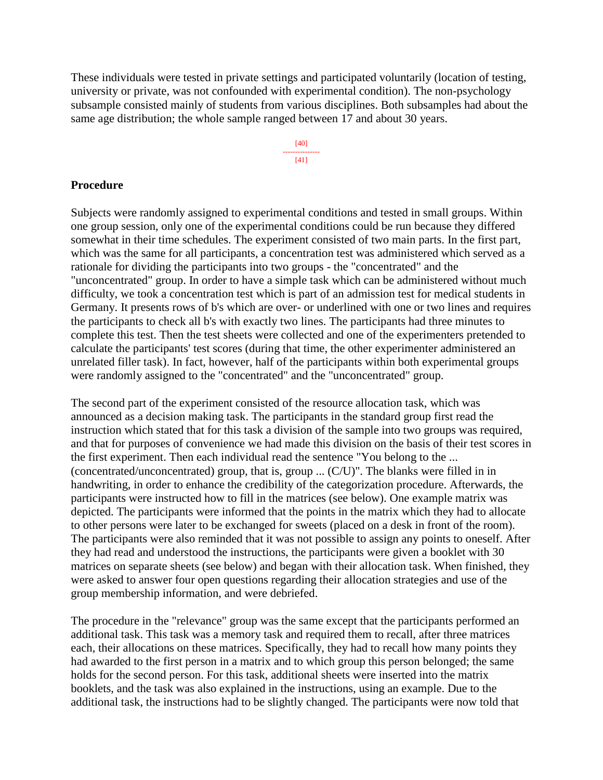These individuals were tested in private settings and participated voluntarily (location of testing, university or private, was not confounded with experimental condition). The non-psychology subsample consisted mainly of students from various disciplines. Both subsamples had about the same age distribution; the whole sample ranged between 17 and about 30 years.

> [40] --------------- [41]

#### **Procedure**

Subjects were randomly assigned to experimental conditions and tested in small groups. Within one group session, only one of the experimental conditions could be run because they differed somewhat in their time schedules. The experiment consisted of two main parts. In the first part, which was the same for all participants, a concentration test was administered which served as a rationale for dividing the participants into two groups - the "concentrated" and the "unconcentrated" group. In order to have a simple task which can be administered without much difficulty, we took a concentration test which is part of an admission test for medical students in Germany. It presents rows of b's which are over- or underlined with one or two lines and requires the participants to check all b's with exactly two lines. The participants had three minutes to complete this test. Then the test sheets were collected and one of the experimenters pretended to calculate the participants' test scores (during that time, the other experimenter administered an unrelated filler task). In fact, however, half of the participants within both experimental groups were randomly assigned to the "concentrated" and the "unconcentrated" group.

The second part of the experiment consisted of the resource allocation task, which was announced as a decision making task. The participants in the standard group first read the instruction which stated that for this task a division of the sample into two groups was required, and that for purposes of convenience we had made this division on the basis of their test scores in the first experiment. Then each individual read the sentence "You belong to the ... (concentrated/unconcentrated) group, that is, group ... (C/U)". The blanks were filled in in handwriting, in order to enhance the credibility of the categorization procedure. Afterwards, the participants were instructed how to fill in the matrices (see below). One example matrix was depicted. The participants were informed that the points in the matrix which they had to allocate to other persons were later to be exchanged for sweets (placed on a desk in front of the room). The participants were also reminded that it was not possible to assign any points to oneself. After they had read and understood the instructions, the participants were given a booklet with 30 matrices on separate sheets (see below) and began with their allocation task. When finished, they were asked to answer four open questions regarding their allocation strategies and use of the group membership information, and were debriefed.

The procedure in the "relevance" group was the same except that the participants performed an additional task. This task was a memory task and required them to recall, after three matrices each, their allocations on these matrices. Specifically, they had to recall how many points they had awarded to the first person in a matrix and to which group this person belonged; the same holds for the second person. For this task, additional sheets were inserted into the matrix booklets, and the task was also explained in the instructions, using an example. Due to the additional task, the instructions had to be slightly changed. The participants were now told that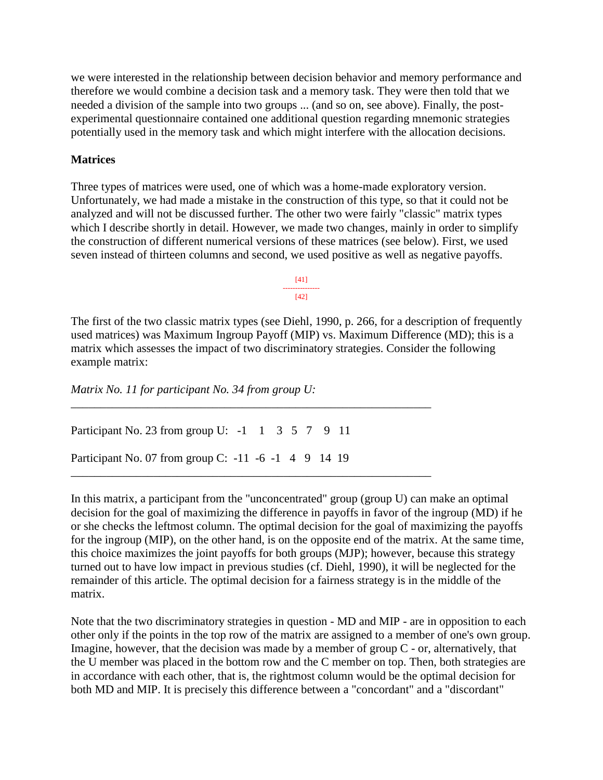we were interested in the relationship between decision behavior and memory performance and therefore we would combine a decision task and a memory task. They were then told that we needed a division of the sample into two groups ... (and so on, see above). Finally, the postexperimental questionnaire contained one additional question regarding mnemonic strategies potentially used in the memory task and which might interfere with the allocation decisions.

### **Matrices**

Three types of matrices were used, one of which was a home-made exploratory version. Unfortunately, we had made a mistake in the construction of this type, so that it could not be analyzed and will not be discussed further. The other two were fairly "classic" matrix types which I describe shortly in detail. However, we made two changes, mainly in order to simplify the construction of different numerical versions of these matrices (see below). First, we used seven instead of thirteen columns and second, we used positive as well as negative payoffs.

> [41] --------------- [42]

The first of the two classic matrix types (see Diehl, 1990, p. 266, for a description of frequently used matrices) was Maximum Ingroup Payoff (MIP) vs. Maximum Difference (MD); this is a matrix which assesses the impact of two discriminatory strategies. Consider the following example matrix:

*Matrix No. 11 for participant No. 34 from group U:*

Participant No. 23 from group U: -1 1 3 5 7 9 11

*\_\_\_\_\_\_\_\_\_\_\_\_\_\_\_\_\_\_\_\_\_\_\_\_\_\_\_\_\_\_\_\_\_\_\_\_\_\_\_\_\_\_\_\_\_\_\_\_\_\_\_\_\_\_\_\_\_\_\_\_\_*

\_\_\_\_\_\_\_\_\_\_\_\_\_\_\_\_\_\_\_\_\_\_\_\_\_\_\_\_\_\_\_\_\_\_\_\_\_\_\_\_\_\_\_\_\_\_\_\_\_\_\_\_\_\_\_\_\_\_\_\_\_

Participant No. 07 from group C: -11 -6 -1 4 9 14 19

In this matrix, a participant from the "unconcentrated" group (group U) can make an optimal decision for the goal of maximizing the difference in payoffs in favor of the ingroup (MD) if he or she checks the leftmost column. The optimal decision for the goal of maximizing the payoffs for the ingroup (MIP), on the other hand, is on the opposite end of the matrix. At the same time, this choice maximizes the joint payoffs for both groups (MJP); however, because this strategy turned out to have low impact in previous studies (cf. Diehl, 1990), it will be neglected for the remainder of this article. The optimal decision for a fairness strategy is in the middle of the matrix.

Note that the two discriminatory strategies in question - MD and MIP - are in opposition to each other only if the points in the top row of the matrix are assigned to a member of one's own group. Imagine, however, that the decision was made by a member of group  $C$  - or, alternatively, that the U member was placed in the bottom row and the C member on top. Then, both strategies are in accordance with each other, that is, the rightmost column would be the optimal decision for both MD and MIP. It is precisely this difference between a "concordant" and a "discordant"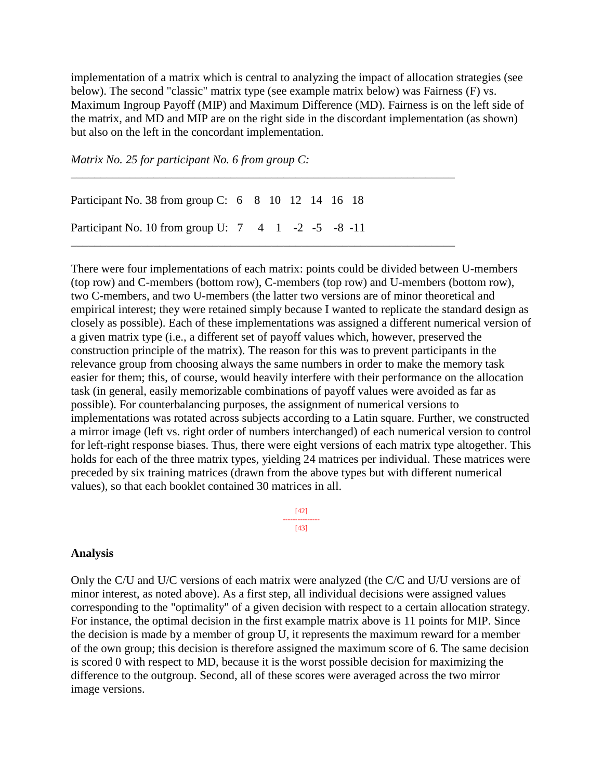implementation of a matrix which is central to analyzing the impact of allocation strategies (see below). The second "classic" matrix type (see example matrix below) was Fairness (F) vs. Maximum Ingroup Payoff (MIP) and Maximum Difference (MD). Fairness is on the left side of the matrix, and MD and MIP are on the right side in the discordant implementation (as shown) but also on the left in the concordant implementation.

\_\_\_\_\_\_\_\_\_\_\_\_\_\_\_\_\_\_\_\_\_\_\_\_\_\_\_\_\_\_\_\_\_\_\_\_\_\_\_\_\_\_\_\_\_\_\_\_\_\_\_\_\_\_\_\_\_\_\_\_\_\_\_\_\_

*Matrix No. 25 for participant No. 6 from group C:*

Participant No. 38 from group C: 6 8 10 12 14 16 18 Participant No. 10 from group U: 7 4 1 -2 -5 -8 -11 \_\_\_\_\_\_\_\_\_\_\_\_\_\_\_\_\_\_\_\_\_\_\_\_\_\_\_\_\_\_\_\_\_\_\_\_\_\_\_\_\_\_\_\_\_\_\_\_\_\_\_\_\_\_\_\_\_\_\_\_\_\_\_\_\_

There were four implementations of each matrix: points could be divided between U-members (top row) and C-members (bottom row), C-members (top row) and U-members (bottom row), two C-members, and two U-members (the latter two versions are of minor theoretical and empirical interest; they were retained simply because I wanted to replicate the standard design as closely as possible). Each of these implementations was assigned a different numerical version of a given matrix type (i.e., a different set of payoff values which, however, preserved the construction principle of the matrix). The reason for this was to prevent participants in the relevance group from choosing always the same numbers in order to make the memory task easier for them; this, of course, would heavily interfere with their performance on the allocation task (in general, easily memorizable combinations of payoff values were avoided as far as possible). For counterbalancing purposes, the assignment of numerical versions to implementations was rotated across subjects according to a Latin square. Further, we constructed a mirror image (left vs. right order of numbers interchanged) of each numerical version to control for left-right response biases. Thus, there were eight versions of each matrix type altogether. This holds for each of the three matrix types, yielding 24 matrices per individual. These matrices were preceded by six training matrices (drawn from the above types but with different numerical values), so that each booklet contained 30 matrices in all.

> [42] --------------- [43]

#### **Analysis**

Only the C/U and U/C versions of each matrix were analyzed (the C/C and U/U versions are of minor interest, as noted above). As a first step, all individual decisions were assigned values corresponding to the "optimality" of a given decision with respect to a certain allocation strategy. For instance, the optimal decision in the first example matrix above is 11 points for MIP. Since the decision is made by a member of group U, it represents the maximum reward for a member of the own group; this decision is therefore assigned the maximum score of 6. The same decision is scored 0 with respect to MD, because it is the worst possible decision for maximizing the difference to the outgroup. Second, all of these scores were averaged across the two mirror image versions.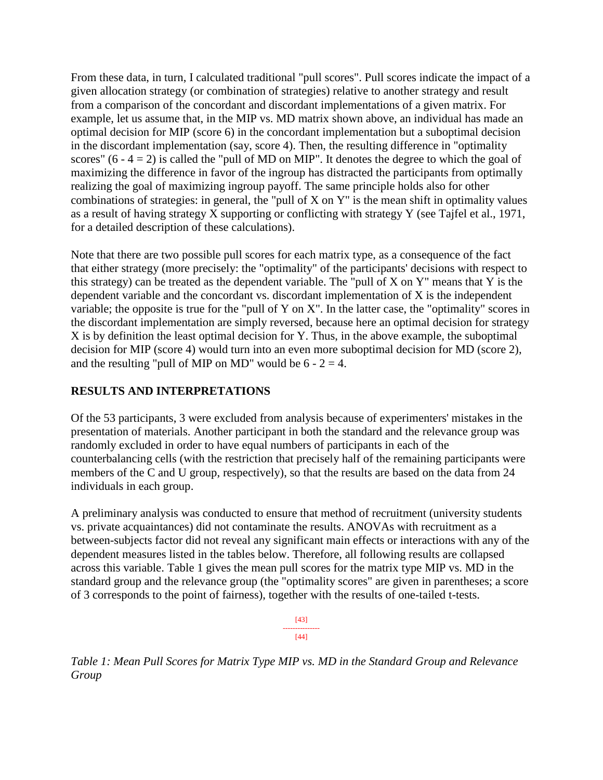From these data, in turn, I calculated traditional "pull scores". Pull scores indicate the impact of a given allocation strategy (or combination of strategies) relative to another strategy and result from a comparison of the concordant and discordant implementations of a given matrix. For example, let us assume that, in the MIP vs. MD matrix shown above, an individual has made an optimal decision for MIP (score 6) in the concordant implementation but a suboptimal decision in the discordant implementation (say, score 4). Then, the resulting difference in "optimality scores"  $(6 - 4 = 2)$  is called the "pull of MD on MIP". It denotes the degree to which the goal of maximizing the difference in favor of the ingroup has distracted the participants from optimally realizing the goal of maximizing ingroup payoff. The same principle holds also for other combinations of strategies: in general, the "pull of X on Y" is the mean shift in optimality values as a result of having strategy X supporting or conflicting with strategy Y (see Tajfel et al., 1971, for a detailed description of these calculations).

Note that there are two possible pull scores for each matrix type, as a consequence of the fact that either strategy (more precisely: the "optimality" of the participants' decisions with respect to this strategy) can be treated as the dependent variable. The "pull of X on Y" means that Y is the dependent variable and the concordant vs. discordant implementation of X is the independent variable; the opposite is true for the "pull of Y on X". In the latter case, the "optimality" scores in the discordant implementation are simply reversed, because here an optimal decision for strategy X is by definition the least optimal decision for Y. Thus, in the above example, the suboptimal decision for MIP (score 4) would turn into an even more suboptimal decision for MD (score 2), and the resulting "pull of MIP on MD" would be  $6 - 2 = 4$ .

# **RESULTS AND INTERPRETATIONS**

Of the 53 participants, 3 were excluded from analysis because of experimenters' mistakes in the presentation of materials. Another participant in both the standard and the relevance group was randomly excluded in order to have equal numbers of participants in each of the counterbalancing cells (with the restriction that precisely half of the remaining participants were members of the C and U group, respectively), so that the results are based on the data from 24 individuals in each group.

A preliminary analysis was conducted to ensure that method of recruitment (university students vs. private acquaintances) did not contaminate the results. ANOVAs with recruitment as a between-subjects factor did not reveal any significant main effects or interactions with any of the dependent measures listed in the tables below. Therefore, all following results are collapsed across this variable. Table 1 gives the mean pull scores for the matrix type MIP vs. MD in the standard group and the relevance group (the "optimality scores" are given in parentheses; a score of 3 corresponds to the point of fairness), together with the results of one-tailed t-tests.

> [43] --------------- [44]

*Table 1: Mean Pull Scores for Matrix Type MIP vs. MD in the Standard Group and Relevance Group*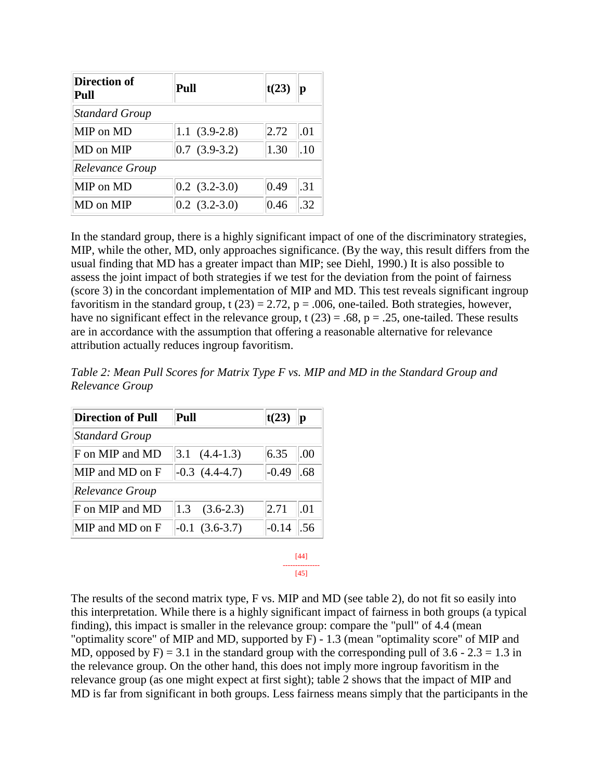| <b>Direction of</b><br>Pull | Pull              | t(23) | р   |
|-----------------------------|-------------------|-------|-----|
| <b>Standard Group</b>       |                   |       |     |
| MIP on MD                   | $1.1(3.9-2.8)$    | 2.72  | .01 |
| MD on MIP                   | $0.7(3.9-3.2)$    | 1.30  | .10 |
| <b>Relevance Group</b>      |                   |       |     |
| MIP on MD                   | $[0.2 (3.2-3.0)]$ | 0.49  | .31 |
| MD on MIP                   | $0.2$ $(3.2-3.0)$ | 0.46  | 32  |

In the standard group, there is a highly significant impact of one of the discriminatory strategies, MIP, while the other, MD, only approaches significance. (By the way, this result differs from the usual finding that MD has a greater impact than MIP; see Diehl, 1990.) It is also possible to assess the joint impact of both strategies if we test for the deviation from the point of fairness (score 3) in the concordant implementation of MIP and MD. This test reveals significant ingroup favoritism in the standard group, t (23) = 2.72,  $p = .006$ , one-tailed. Both strategies, however, have no significant effect in the relevance group, t  $(23) = .68$ ,  $p = .25$ , one-tailed. These results are in accordance with the assumption that offering a reasonable alternative for relevance attribution actually reduces ingroup favoritism.

*Table 2: Mean Pull Scores for Matrix Type F vs. MIP and MD in the Standard Group and Relevance Group*

| <b>Direction of Pull</b> | Pull                   | t(23)          |
|--------------------------|------------------------|----------------|
| <b>Standard Group</b>    |                        |                |
| F on MIP and MD          | $ 3.1 \quad (4.4-1.3)$ | 6.35<br>.00    |
| MIP and MD on F          | $-0.3$ $(4.4-4.7)$     | $-0.49$<br>.68 |
| <b>Relevance Group</b>   |                        |                |
| F on MIP and MD          | 1.3<br>$(3.6-2.3)$     | 2.71<br>.01    |
| MIP and MD on F          | $-0.1(3.6-3.7)$        | $-0.14$        |

[44] ---------------  $[45]$ 

The results of the second matrix type, F vs. MIP and MD (see table 2), do not fit so easily into this interpretation. While there is a highly significant impact of fairness in both groups (a typical finding), this impact is smaller in the relevance group: compare the "pull" of 4.4 (mean "optimality score" of MIP and MD, supported by F) - 1.3 (mean "optimality score" of MIP and MD, opposed by F $) = 3.1$  in the standard group with the corresponding pull of 3.6 - 2.3 = 1.3 in the relevance group. On the other hand, this does not imply more ingroup favoritism in the relevance group (as one might expect at first sight); table 2 shows that the impact of MIP and MD is far from significant in both groups. Less fairness means simply that the participants in the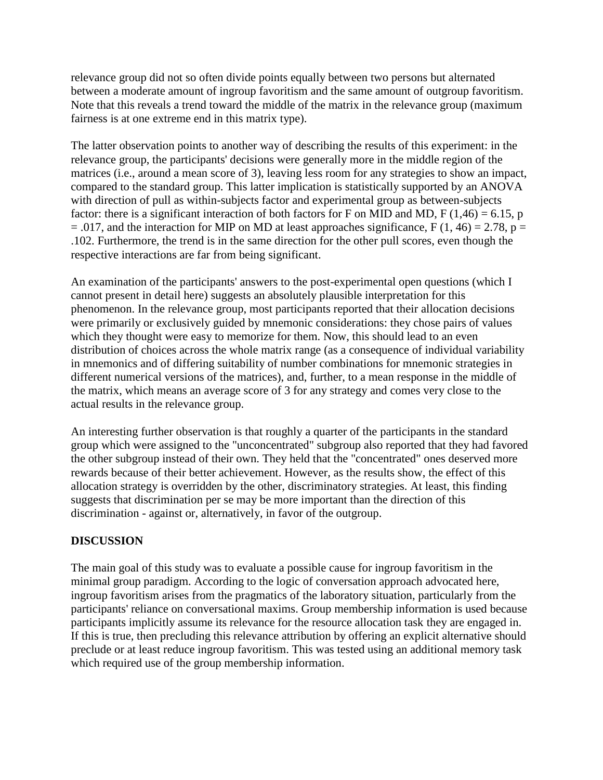relevance group did not so often divide points equally between two persons but alternated between a moderate amount of ingroup favoritism and the same amount of outgroup favoritism. Note that this reveals a trend toward the middle of the matrix in the relevance group (maximum fairness is at one extreme end in this matrix type).

The latter observation points to another way of describing the results of this experiment: in the relevance group, the participants' decisions were generally more in the middle region of the matrices (i.e., around a mean score of 3), leaving less room for any strategies to show an impact, compared to the standard group. This latter implication is statistically supported by an ANOVA with direction of pull as within-subjects factor and experimental group as between-subjects factor: there is a significant interaction of both factors for F on MID and MD, F (1,46) = 6.15, p  $= .017$ , and the interaction for MIP on MD at least approaches significance, F (1, 46) = 2.78, p = .102. Furthermore, the trend is in the same direction for the other pull scores, even though the respective interactions are far from being significant.

An examination of the participants' answers to the post-experimental open questions (which I cannot present in detail here) suggests an absolutely plausible interpretation for this phenomenon. In the relevance group, most participants reported that their allocation decisions were primarily or exclusively guided by mnemonic considerations: they chose pairs of values which they thought were easy to memorize for them. Now, this should lead to an even distribution of choices across the whole matrix range (as a consequence of individual variability in mnemonics and of differing suitability of number combinations for mnemonic strategies in different numerical versions of the matrices), and, further, to a mean response in the middle of the matrix, which means an average score of 3 for any strategy and comes very close to the actual results in the relevance group.

An interesting further observation is that roughly a quarter of the participants in the standard group which were assigned to the "unconcentrated" subgroup also reported that they had favored the other subgroup instead of their own. They held that the "concentrated" ones deserved more rewards because of their better achievement. However, as the results show, the effect of this allocation strategy is overridden by the other, discriminatory strategies. At least, this finding suggests that discrimination per se may be more important than the direction of this discrimination - against or, alternatively, in favor of the outgroup.

# **DISCUSSION**

The main goal of this study was to evaluate a possible cause for ingroup favoritism in the minimal group paradigm. According to the logic of conversation approach advocated here, ingroup favoritism arises from the pragmatics of the laboratory situation, particularly from the participants' reliance on conversational maxims. Group membership information is used because participants implicitly assume its relevance for the resource allocation task they are engaged in. If this is true, then precluding this relevance attribution by offering an explicit alternative should preclude or at least reduce ingroup favoritism. This was tested using an additional memory task which required use of the group membership information.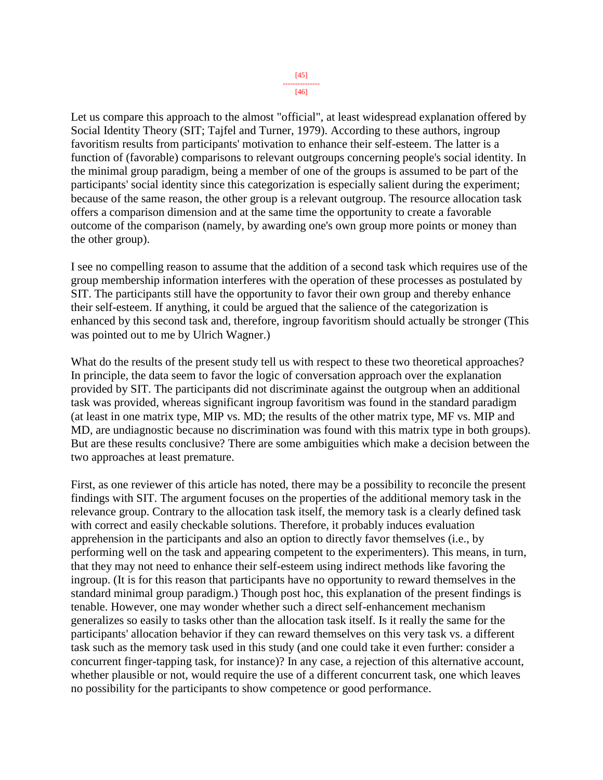Let us compare this approach to the almost "official", at least widespread explanation offered by Social Identity Theory (SIT; Tajfel and Turner, 1979). According to these authors, ingroup favoritism results from participants' motivation to enhance their self-esteem. The latter is a function of (favorable) comparisons to relevant outgroups concerning people's social identity. In the minimal group paradigm, being a member of one of the groups is assumed to be part of the participants' social identity since this categorization is especially salient during the experiment; because of the same reason, the other group is a relevant outgroup. The resource allocation task offers a comparison dimension and at the same time the opportunity to create a favorable outcome of the comparison (namely, by awarding one's own group more points or money than the other group).

I see no compelling reason to assume that the addition of a second task which requires use of the group membership information interferes with the operation of these processes as postulated by SIT. The participants still have the opportunity to favor their own group and thereby enhance their self-esteem. If anything, it could be argued that the salience of the categorization is enhanced by this second task and, therefore, ingroup favoritism should actually be stronger (This was pointed out to me by Ulrich Wagner.)

What do the results of the present study tell us with respect to these two theoretical approaches? In principle, the data seem to favor the logic of conversation approach over the explanation provided by SIT. The participants did not discriminate against the outgroup when an additional task was provided, whereas significant ingroup favoritism was found in the standard paradigm (at least in one matrix type, MIP vs. MD; the results of the other matrix type, MF vs. MIP and MD, are undiagnostic because no discrimination was found with this matrix type in both groups). But are these results conclusive? There are some ambiguities which make a decision between the two approaches at least premature.

First, as one reviewer of this article has noted, there may be a possibility to reconcile the present findings with SIT. The argument focuses on the properties of the additional memory task in the relevance group. Contrary to the allocation task itself, the memory task is a clearly defined task with correct and easily checkable solutions. Therefore, it probably induces evaluation apprehension in the participants and also an option to directly favor themselves (i.e., by performing well on the task and appearing competent to the experimenters). This means, in turn, that they may not need to enhance their self-esteem using indirect methods like favoring the ingroup. (It is for this reason that participants have no opportunity to reward themselves in the standard minimal group paradigm.) Though post hoc, this explanation of the present findings is tenable. However, one may wonder whether such a direct self-enhancement mechanism generalizes so easily to tasks other than the allocation task itself. Is it really the same for the participants' allocation behavior if they can reward themselves on this very task vs. a different task such as the memory task used in this study (and one could take it even further: consider a concurrent finger-tapping task, for instance)? In any case, a rejection of this alternative account, whether plausible or not, would require the use of a different concurrent task, one which leaves no possibility for the participants to show competence or good performance.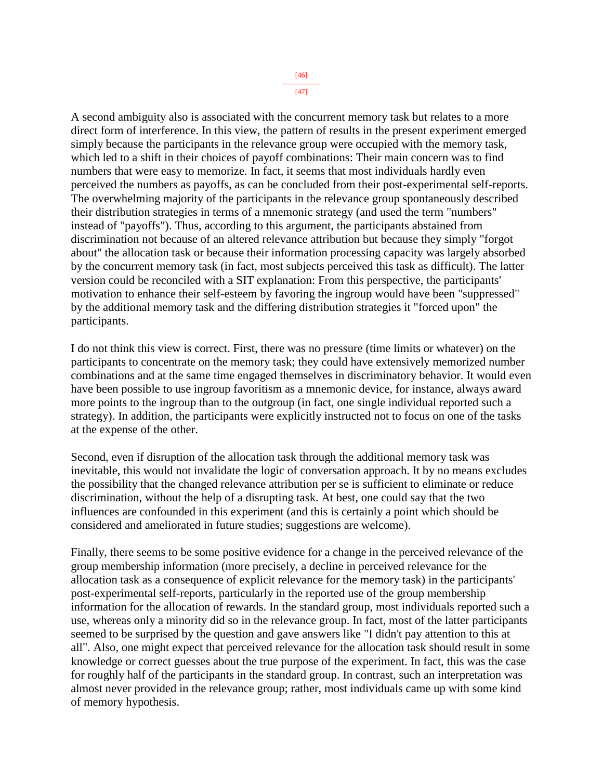[47]

A second ambiguity also is associated with the concurrent memory task but relates to a more direct form of interference. In this view, the pattern of results in the present experiment emerged simply because the participants in the relevance group were occupied with the memory task, which led to a shift in their choices of payoff combinations: Their main concern was to find numbers that were easy to memorize. In fact, it seems that most individuals hardly even perceived the numbers as payoffs, as can be concluded from their post-experimental self-reports. The overwhelming majority of the participants in the relevance group spontaneously described their distribution strategies in terms of a mnemonic strategy (and used the term "numbers" instead of "payoffs"). Thus, according to this argument, the participants abstained from discrimination not because of an altered relevance attribution but because they simply "forgot about" the allocation task or because their information processing capacity was largely absorbed by the concurrent memory task (in fact, most subjects perceived this task as difficult). The latter version could be reconciled with a SIT explanation: From this perspective, the participants' motivation to enhance their self-esteem by favoring the ingroup would have been "suppressed" by the additional memory task and the differing distribution strategies it "forced upon" the participants.

I do not think this view is correct. First, there was no pressure (time limits or whatever) on the participants to concentrate on the memory task; they could have extensively memorized number combinations and at the same time engaged themselves in discriminatory behavior. It would even have been possible to use ingroup favoritism as a mnemonic device, for instance, always award more points to the ingroup than to the outgroup (in fact, one single individual reported such a strategy). In addition, the participants were explicitly instructed not to focus on one of the tasks at the expense of the other.

Second, even if disruption of the allocation task through the additional memory task was inevitable, this would not invalidate the logic of conversation approach. It by no means excludes the possibility that the changed relevance attribution per se is sufficient to eliminate or reduce discrimination, without the help of a disrupting task. At best, one could say that the two influences are confounded in this experiment (and this is certainly a point which should be considered and ameliorated in future studies; suggestions are welcome).

Finally, there seems to be some positive evidence for a change in the perceived relevance of the group membership information (more precisely, a decline in perceived relevance for the allocation task as a consequence of explicit relevance for the memory task) in the participants' post-experimental self-reports, particularly in the reported use of the group membership information for the allocation of rewards. In the standard group, most individuals reported such a use, whereas only a minority did so in the relevance group. In fact, most of the latter participants seemed to be surprised by the question and gave answers like "I didn't pay attention to this at all". Also, one might expect that perceived relevance for the allocation task should result in some knowledge or correct guesses about the true purpose of the experiment. In fact, this was the case for roughly half of the participants in the standard group. In contrast, such an interpretation was almost never provided in the relevance group; rather, most individuals came up with some kind of memory hypothesis.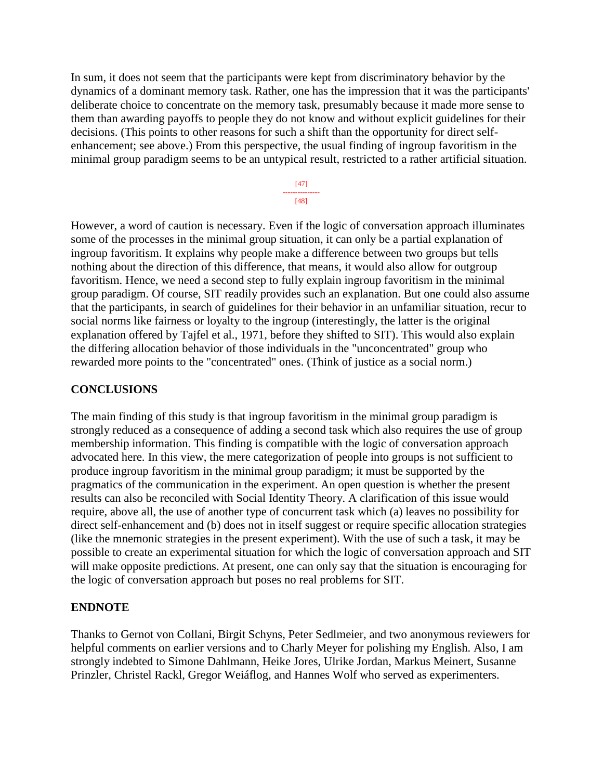In sum, it does not seem that the participants were kept from discriminatory behavior by the dynamics of a dominant memory task. Rather, one has the impression that it was the participants' deliberate choice to concentrate on the memory task, presumably because it made more sense to them than awarding payoffs to people they do not know and without explicit guidelines for their decisions. (This points to other reasons for such a shift than the opportunity for direct selfenhancement; see above.) From this perspective, the usual finding of ingroup favoritism in the minimal group paradigm seems to be an untypical result, restricted to a rather artificial situation.

> [47] --------------- [48]

However, a word of caution is necessary. Even if the logic of conversation approach illuminates some of the processes in the minimal group situation, it can only be a partial explanation of ingroup favoritism. It explains why people make a difference between two groups but tells nothing about the direction of this difference, that means, it would also allow for outgroup favoritism. Hence, we need a second step to fully explain ingroup favoritism in the minimal group paradigm. Of course, SIT readily provides such an explanation. But one could also assume that the participants, in search of guidelines for their behavior in an unfamiliar situation, recur to social norms like fairness or loyalty to the ingroup (interestingly, the latter is the original explanation offered by Tajfel et al., 1971, before they shifted to SIT). This would also explain the differing allocation behavior of those individuals in the "unconcentrated" group who rewarded more points to the "concentrated" ones. (Think of justice as a social norm.)

## **CONCLUSIONS**

The main finding of this study is that ingroup favoritism in the minimal group paradigm is strongly reduced as a consequence of adding a second task which also requires the use of group membership information. This finding is compatible with the logic of conversation approach advocated here. In this view, the mere categorization of people into groups is not sufficient to produce ingroup favoritism in the minimal group paradigm; it must be supported by the pragmatics of the communication in the experiment. An open question is whether the present results can also be reconciled with Social Identity Theory. A clarification of this issue would require, above all, the use of another type of concurrent task which (a) leaves no possibility for direct self-enhancement and (b) does not in itself suggest or require specific allocation strategies (like the mnemonic strategies in the present experiment). With the use of such a task, it may be possible to create an experimental situation for which the logic of conversation approach and SIT will make opposite predictions. At present, one can only say that the situation is encouraging for the logic of conversation approach but poses no real problems for SIT.

## **ENDNOTE**

Thanks to Gernot von Collani, Birgit Schyns, Peter Sedlmeier, and two anonymous reviewers for helpful comments on earlier versions and to Charly Meyer for polishing my English. Also, I am strongly indebted to Simone Dahlmann, Heike Jores, Ulrike Jordan, Markus Meinert, Susanne Prinzler, Christel Rackl, Gregor Weiáflog, and Hannes Wolf who served as experimenters.